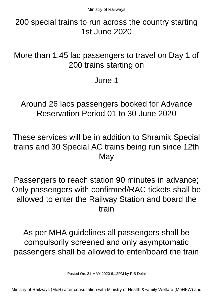200 special trains to run across the country starting 1st June 2020

More than 1.45 lac passengers to travel on Day 1 of 200 trains starting on

June 1

Around 26 lacs passengers booked for Advance Reservation Period 01 to 30 June 2020

These services will be in addition to Shramik Special trains and 30 Special AC trains being run since 12th **May** 

Passengers to reach station 90 minutes in advance; Only passengers with confirmed/RAC tickets shall be allowed to enter the Railway Station and board the train

As per MHA guidelines all passengers shall be compulsorily screened and only asymptomatic passengers shall be allowed to enter/board the train

Posted On: 31 MAY 2020 6:12PM by PIB Delhi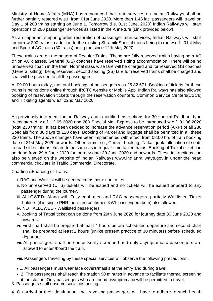Ministry of Home Affairs (MHA) has announced that train services on Indian Railways shall be further partially restored w.e.f. from 01st June 2020. More than 1.45 lac passengers will travel on Day 1 of 200 trains starting on June 1. Tomorrow (i.e. 01st June, 2020) Indian Railways will start operations of 200 passenger services as listed in the Annexure (Link provided below).

As an important step in graded restoration of passenger train services, Indian Railways will start tomorrow 200 trains in addition to the existing Shramik Special trains being to run w.e.f. 01st May and Special AC trains (30 trains) being run since 12th May 2020.

These trains are on the pattern of Regular Trains. These are fully reserved trains having both AC &Non AC classes. General (GS) coaches have reserved sitting accommodation. There will be no unreserved coach in the train. Normal class wise fare will be charged and for reserved GS coaches (General sitting), being reserved, second seating (2S) fare for reserved trains shall be charged and seat will be provided to all the passengers.

At 09.00 hours today, the total bookings of passengers was 25,82,671. Booking of tickets for these trains is being done online through IRCTC website or Mobile App. Indian Railways has also allowed booking of reservation tickets through the reservation counters, Common Service Centers(CSCs) and Ticketing agents w.e.f. 22nd May 2020.

As previously informed, Indian Railways has modified instructions for 30 special Rajdhani type trains started w.e.f. 12.05.2020 and 200 Special Mail Express to be introduced w.e.f. 01.06.2020 (total 230 trains). It has been decided to increase the advance reservation period (ARP) of all 230 Specials from 30 days to 120 days. Booking of Parcel and luggage shall be permitted in all these 230 trains. The above changes have been implemented with effect from 08:00 hrs of train booking date of 31st May 2020 onwards. Other terms e.g., Current booking, Tatkal quota allocation of seats to road side stations etc are to be same as in regular time tabled trains. Booking of Tatkal ticket can be done from 29th June 2020 for journey date 30 June 2020 and onwards. These instructions can also be viewed on the website of Indian Railways www.indianrailways.gov.in under the head commercial circulars in Traffic Commercial Directorate.

Charting &Boarding of Trains:

- i. RAC and Wait list will be generated as per extant rules.
- ii. No unreserved (UTS) tickets will be issued and no tickets will be issued onboard to any passenger during the journey.
- iii. ALLOWED- Along with Fully confirmed and RAC passengers, partially Waitlisted Ticket holders (if in single PNR there are confirmed &WL passengers both) also allowed.
- iv. NOT ALLOWED Waitlisted passengers.
- v. Booking of Tatkal ticket can be done from 29th June 2020 for journey date 30 June 2020 and onwards.
- vi. First chart shall be prepared at least 4 hours before scheduled departure and second chart shall be prepared at least 2 hours (unlike present practice of 30 minutes) before scheduled departure.
- vii. All passengers shall be compulsorily screened and only asymptomatic passengers are allowed to enter /board the train.

viii. Passengers travelling by these special services will observe the following precautions :

- 1. All passengers must wear face covers/masks at the entry and during travel.
- 2. The passengers shall reach the station 90 minutes in advance to facilitate thermal screening at the station. Only passengers who are found asymptomatic will be permitted to travel.
- 3. Passengers shall observe social distancing.
- 4. On arrival at their destination, the travelling passengers will have to adhere to such health